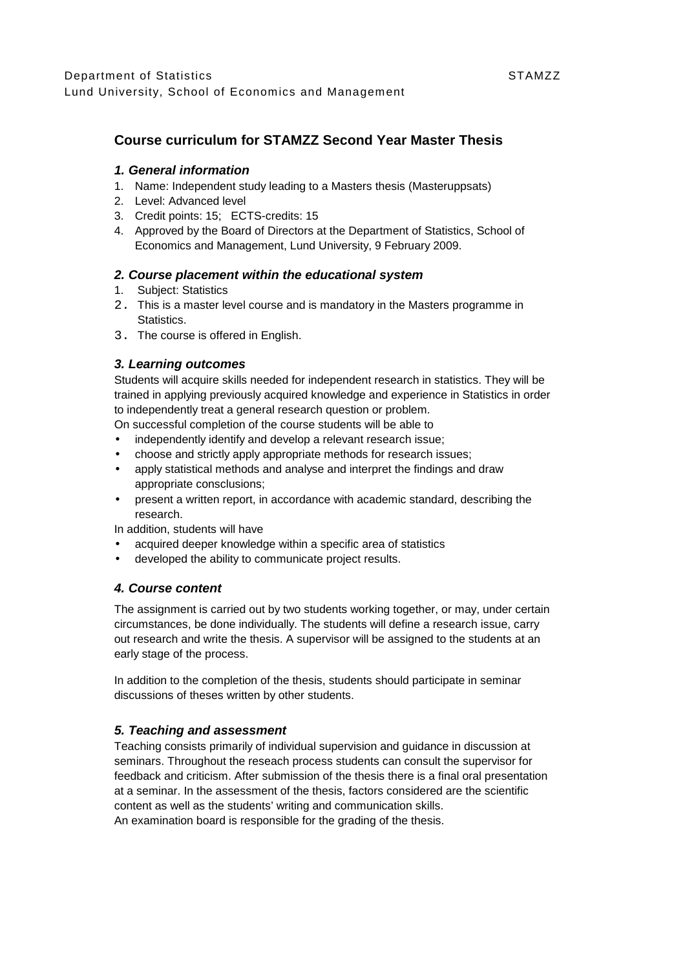# **Course curriculum for STAMZZ Second Year Master Thesis**

### **1. General information**

- 1. Name: Independent study leading to a Masters thesis (Masteruppsats)
- 2. Level: Advanced level
- 3. Credit points: 15; ECTS-credits: 15
- 4. Approved by the Board of Directors at the Department of Statistics, School of Economics and Management, Lund University, 9 February 2009.

# **2. Course placement within the educational system**

- 1. Subject: Statistics
- 2. This is a master level course and is mandatory in the Masters programme in Statistics.
- 3. The course is offered in English.

# **3. Learning outcomes**

Students will acquire skills needed for independent research in statistics. They will be trained in applying previously acquired knowledge and experience in Statistics in order to independently treat a general research question or problem.

- On successful completion of the course students will be able to
- independently identify and develop a relevant research issue;
- choose and strictly apply appropriate methods for research issues;
- apply statistical methods and analyse and interpret the findings and draw appropriate consclusions;
- present a written report, in accordance with academic standard, describing the research.

In addition, students will have

- acquired deeper knowledge within a specific area of statistics
- developed the ability to communicate project results.

#### **4. Course content**

The assignment is carried out by two students working together, or may, under certain circumstances, be done individually. The students will define a research issue, carry out research and write the thesis. A supervisor will be assigned to the students at an early stage of the process.

In addition to the completion of the thesis, students should participate in seminar discussions of theses written by other students.

# **5. Teaching and assessment**

Teaching consists primarily of individual supervision and guidance in discussion at seminars. Throughout the reseach process students can consult the supervisor for feedback and criticism. After submission of the thesis there is a final oral presentation at a seminar. In the assessment of the thesis, factors considered are the scientific content as well as the students' writing and communication skills. An examination board is responsible for the grading of the thesis.